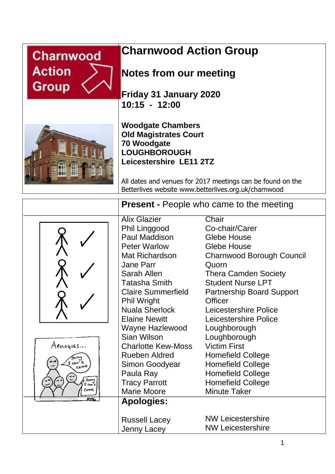

# **Charnwood Action Group**

# **Notes from our meeting**

**Friday 31 January 2020 10:15 - 12:00**



**Woodgate Chambers Old Magistrates Court 70 Woodgate LOUGHBOROUGH Leicestershire LE11 2TZ**

All dates and venues for 2017 meetings can be found on the Betterlives website www.betterlives.org.uk/charnwood

|                 | <b>Present - People who came to the meeting</b> |                                  |
|-----------------|-------------------------------------------------|----------------------------------|
|                 | <b>Alix Glazier</b>                             | Chair                            |
|                 | Phil Linggood                                   | Co-chair/Carer                   |
|                 | Paul Maddison                                   | <b>Glebe House</b>               |
|                 | <b>Peter Warlow</b>                             | <b>Glebe House</b>               |
|                 | Mat Richardson                                  | Charnwood Borough Council        |
|                 | <b>Jane Parr</b>                                | Quorn                            |
|                 | Sarah Allen                                     | <b>Thera Camden Society</b>      |
|                 | Tatasha Smith                                   | <b>Student Nurse LPT</b>         |
|                 | <b>Claire Summerfield</b>                       | <b>Partnership Board Support</b> |
|                 | <b>Phil Wright</b>                              | <b>Officer</b>                   |
|                 | <b>Nuala Sherlock</b>                           | Leicestershire Police            |
|                 | <b>Elaine Newitt</b>                            | Leicestershire Police            |
|                 | Wayne Hazlewood                                 | Loughborough                     |
|                 | Sian Wilson                                     | Loughborough                     |
| Apologies       | <b>Charlotte Kew-Moss</b>                       | <b>Victim First</b>              |
|                 | <b>Rueben Aldred</b>                            | <b>Homefield College</b>         |
| مسم             | Simon Goodyear                                  | <b>Homefield College</b>         |
|                 | Paula Ray                                       | <b>Homefield College</b>         |
| Sorry<br>I can' | <b>Tracy Parrott</b>                            | <b>Homefield College</b>         |
| соме            | Marie Moore                                     | <b>Minute Taker</b>              |
| 526             | <b>Apologies:</b>                               |                                  |
|                 | <b>Russell Lacey</b>                            | <b>NW Leicestershire</b>         |
|                 | Jenny Lacey                                     | <b>NW Leicestershire</b>         |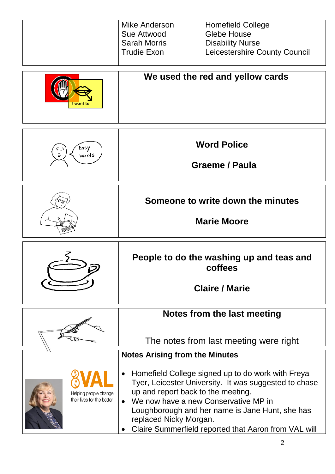|  | Mike Anderson<br>Sue Attwood<br>Sarah Morris<br>  Trudie Exon | <b>Homefield College</b><br>Glebe House<br><b>Disability Nurse</b><br>Leicestershire County Council |
|--|---------------------------------------------------------------|-----------------------------------------------------------------------------------------------------|
|--|---------------------------------------------------------------|-----------------------------------------------------------------------------------------------------|





**Word Police**

 **Graeme / Paula**

**Someone to write down the minutes**

**Marie Moore**

**People to do the washing up and teas and coffees**

**Claire / Marie**

# **Notes from the last meeting**

The notes from last meeting were right

### **Notes Arising from the Minutes**

- Helping people change their lives for the better
- Homefield College signed up to do work with Freya Tyer, Leicester University. It was suggested to chase up and report back to the meeting.
- We now have a new Conservative MP in Loughborough and her name is Jane Hunt, she has replaced Nicky Morgan.
- Claire Summerfield reported that Aaron from VAL will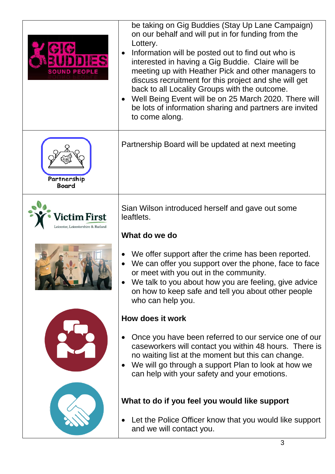| DDIES<br><b>SOUND PEOPLE</b> | be taking on Gig Buddies (Stay Up Lane Campaign)<br>on our behalf and will put in for funding from the<br>Lottery.<br>Information will be posted out to find out who is<br>$\bullet$<br>interested in having a Gig Buddie. Claire will be<br>meeting up with Heather Pick and other managers to<br>discuss recruitment for this project and she will get<br>back to all Locality Groups with the outcome.<br>Well Being Event will be on 25 March 2020. There will<br>be lots of information sharing and partners are invited<br>to come along. |  |  |
|------------------------------|-------------------------------------------------------------------------------------------------------------------------------------------------------------------------------------------------------------------------------------------------------------------------------------------------------------------------------------------------------------------------------------------------------------------------------------------------------------------------------------------------------------------------------------------------|--|--|
| Partnership<br>Board         | Partnership Board will be updated at next meeting                                                                                                                                                                                                                                                                                                                                                                                                                                                                                               |  |  |
| ctim First                   | Sian Wilson introduced herself and gave out some<br>leaftlets.<br>What do we do                                                                                                                                                                                                                                                                                                                                                                                                                                                                 |  |  |
|                              | We offer support after the crime has been reported.<br>We can offer you support over the phone, face to face<br>or meet with you out in the community.<br>We talk to you about how you are feeling, give advice<br>on how to keep safe and tell you about other people<br>who can help you.                                                                                                                                                                                                                                                     |  |  |
|                              | How does it work                                                                                                                                                                                                                                                                                                                                                                                                                                                                                                                                |  |  |
|                              | Once you have been referred to our service one of our<br>caseworkers will contact you within 48 hours. There is<br>no waiting list at the moment but this can change.<br>We will go through a support Plan to look at how we<br>can help with your safety and your emotions.                                                                                                                                                                                                                                                                    |  |  |
|                              | What to do if you feel you would like support                                                                                                                                                                                                                                                                                                                                                                                                                                                                                                   |  |  |
|                              | Let the Police Officer know that you would like support<br>and we will contact you.<br>◠                                                                                                                                                                                                                                                                                                                                                                                                                                                        |  |  |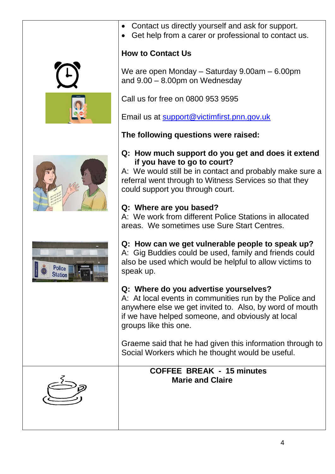







- Contact us directly yourself and ask for support.
- Get help from a carer or professional to contact us.

# **How to Contact Us**

We are open Monday – Saturday 9.00am – 6.00pm and 9.00 – 8.00pm on Wednesday

Call us for free on 0800 953 9595

Email us at [support@victimfirst.pnn.gov.uk](mailto:support@victimfirst.pnn.gov.uk)

**The following questions were raised:**

### **Q: How much support do you get and does it extend if you have to go to court?**

A: We would still be in contact and probably make sure a referral went through to Witness Services so that they could support you through court.

### **Q: Where are you based?**

A: We work from different Police Stations in allocated areas. We sometimes use Sure Start Centres.

# **Q: How can we get vulnerable people to speak up?**

A: Gig Buddies could be used, family and friends could also be used which would be helpful to allow victims to speak up.

### **Q: Where do you advertise yourselves?**

A: At local events in communities run by the Police and anywhere else we get invited to. Also, by word of mouth if we have helped someone, and obviously at local groups like this one.

Graeme said that he had given this information through to Social Workers which he thought would be useful.

# **COFFEE BREAK - 15 minutes Marie and Claire**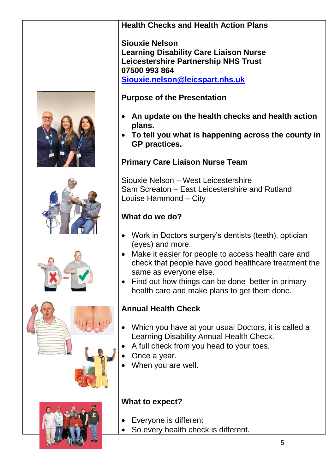









### **Health Checks and Health Action Plans**

**Siouxie Nelson Learning Disability Care Liaison Nurse Leicestershire Partnership NHS Trust 07500 993 864 [Siouxie.nelson@leicspart.nhs.uk](mailto:Siouxie.nelson@leicspart.nhs.uk)**

### **Purpose of the Presentation**

- **An update on the health checks and health action plans.**
- **To tell you what is happening across the county in GP practices.**

### **Primary Care Liaison Nurse Team**

Siouxie Nelson – West Leicestershire Sam Screaton – East Leicestershire and Rutland Louise Hammond – City

# **What do we do?**

- Work in Doctors surgery's dentists (teeth), optician (eyes) and more.
- Make it easier for people to access health care and check that people have good healthcare treatment the same as everyone else.
- Find out how things can be done better in primary health care and make plans to get them done.

# **Annual Health Check**

- Which you have at your usual Doctors, it is called a Learning Disability Annual Health Check.
- A full check from you head to your toes.
- Once a year.
- When you are well.

### **What to expect?**

- **Everyone is different**
- So every health check is different.